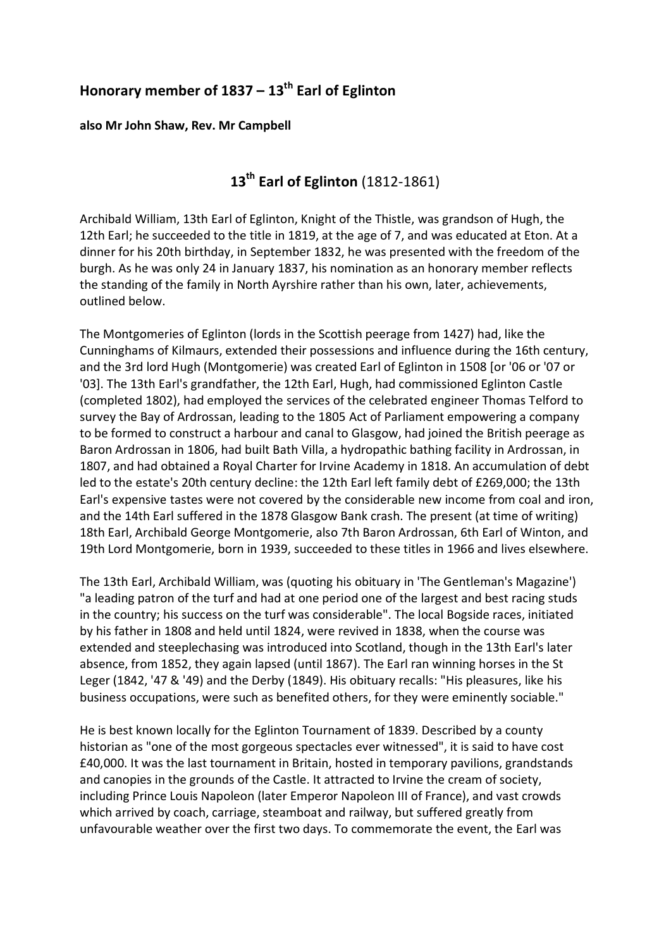## **Honorary member of 1837 – 13th Earl of Eglinton**

**also Mr John Shaw, Rev. Mr Campbell**

## **13th Earl of Eglinton** (1812-1861)

Archibald William, 13th Earl of Eglinton, Knight of the Thistle, was grandson of Hugh, the 12th Earl; he succeeded to the title in 1819, at the age of 7, and was educated at Eton. At a dinner for his 20th birthday, in September 1832, he was presented with the freedom of the burgh. As he was only 24 in January 1837, his nomination as an honorary member reflects the standing of the family in North Ayrshire rather than his own, later, achievements, outlined below.

The Montgomeries of Eglinton (lords in the Scottish peerage from 1427) had, like the Cunninghams of Kilmaurs, extended their possessions and influence during the 16th century, and the 3rd lord Hugh (Montgomerie) was created Earl of Eglinton in 1508 [or '06 or '07 or '03]. The 13th Earl's grandfather, the 12th Earl, Hugh, had commissioned Eglinton Castle (completed 1802), had employed the services of the celebrated engineer Thomas Telford to survey the Bay of Ardrossan, leading to the 1805 Act of Parliament empowering a company to be formed to construct a harbour and canal to Glasgow, had joined the British peerage as Baron Ardrossan in 1806, had built Bath Villa, a hydropathic bathing facility in Ardrossan, in 1807, and had obtained a Royal Charter for Irvine Academy in 1818. An accumulation of debt led to the estate's 20th century decline: the 12th Earl left family debt of £269,000; the 13th Earl's expensive tastes were not covered by the considerable new income from coal and iron, and the 14th Earl suffered in the 1878 Glasgow Bank crash. The present (at time of writing) 18th Earl, Archibald George Montgomerie, also 7th Baron Ardrossan, 6th Earl of Winton, and 19th Lord Montgomerie, born in 1939, succeeded to these titles in 1966 and lives elsewhere.

The 13th Earl, Archibald William, was (quoting his obituary in 'The Gentleman's Magazine') "a leading patron of the turf and had at one period one of the largest and best racing studs in the country; his success on the turf was considerable". The local Bogside races, initiated by his father in 1808 and held until 1824, were revived in 1838, when the course was extended and steeplechasing was introduced into Scotland, though in the 13th Earl's later absence, from 1852, they again lapsed (until 1867). The Earl ran winning horses in the St Leger (1842, '47 & '49) and the Derby (1849). His obituary recalls: "His pleasures, like his business occupations, were such as benefited others, for they were eminently sociable."

He is best known locally for the Eglinton Tournament of 1839. Described by a county historian as "one of the most gorgeous spectacles ever witnessed", it is said to have cost £40,000. It was the last tournament in Britain, hosted in temporary pavilions, grandstands and canopies in the grounds of the Castle. It attracted to Irvine the cream of society, including Prince Louis Napoleon (later Emperor Napoleon III of France), and vast crowds which arrived by coach, carriage, steamboat and railway, but suffered greatly from unfavourable weather over the first two days. To commemorate the event, the Earl was